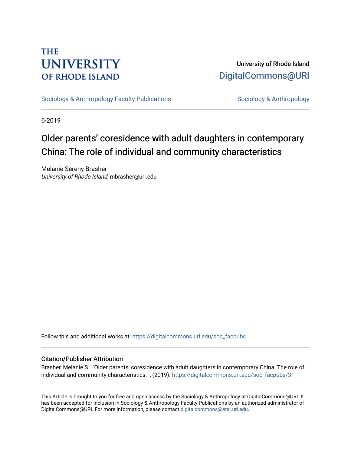# **THE UNIVERSITY OF RHODE ISLAND**

University of Rhode Island [DigitalCommons@URI](https://digitalcommons.uri.edu/) 

[Sociology & Anthropology Faculty Publications](https://digitalcommons.uri.edu/soc_facpubs) [Sociology & Anthropology](https://digitalcommons.uri.edu/soc) & Anthropology

6-2019

# Older parents' coresidence with adult daughters in contemporary China: The role of individual and community characteristics

Melanie Sereny Brasher University of Rhode Island, mbrasher@uri.edu

Follow this and additional works at: [https://digitalcommons.uri.edu/soc\\_facpubs](https://digitalcommons.uri.edu/soc_facpubs?utm_source=digitalcommons.uri.edu%2Fsoc_facpubs%2F31&utm_medium=PDF&utm_campaign=PDFCoverPages) 

### Citation/Publisher Attribution

Brasher, Melanie S.. "Older parents' coresidence with adult daughters in contemporary China: The role of individual and community characteristics." , (2019). [https://digitalcommons.uri.edu/soc\\_facpubs/31](https://digitalcommons.uri.edu/soc_facpubs/31?utm_source=digitalcommons.uri.edu%2Fsoc_facpubs%2F31&utm_medium=PDF&utm_campaign=PDFCoverPages) 

This Article is brought to you for free and open access by the Sociology & Anthropology at DigitalCommons@URI. It has been accepted for inclusion in Sociology & Anthropology Faculty Publications by an authorized administrator of DigitalCommons@URI. For more information, please contact [digitalcommons@etal.uri.edu.](mailto:digitalcommons@etal.uri.edu)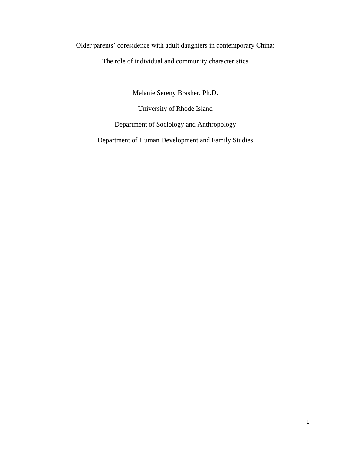Older parents' coresidence with adult daughters in contemporary China:

The role of individual and community characteristics

Melanie Sereny Brasher, Ph.D.

University of Rhode Island Department of Sociology and Anthropology

Department of Human Development and Family Studies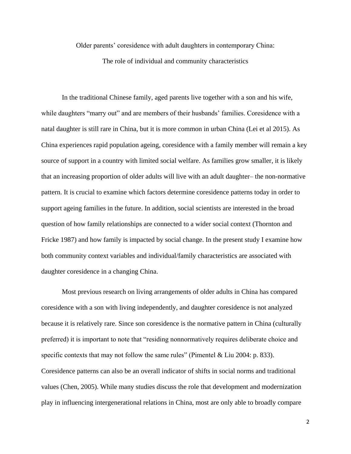Older parents' coresidence with adult daughters in contemporary China: The role of individual and community characteristics

In the traditional Chinese family, aged parents live together with a son and his wife, while daughters "marry out" and are members of their husbands' families. Coresidence with a natal daughter is still rare in China, but it is more common in urban China (Lei et al 2015). As China experiences rapid population ageing, coresidence with a family member will remain a key source of support in a country with limited social welfare. As families grow smaller, it is likely that an increasing proportion of older adults will live with an adult daughter– the non-normative pattern. It is crucial to examine which factors determine coresidence patterns today in order to support ageing families in the future. In addition, social scientists are interested in the broad question of how family relationships are connected to a wider social context (Thornton and Fricke 1987) and how family is impacted by social change. In the present study I examine how both community context variables and individual/family characteristics are associated with daughter coresidence in a changing China.

Most previous research on living arrangements of older adults in China has compared coresidence with a son with living independently, and daughter coresidence is not analyzed because it is relatively rare. Since son coresidence is the normative pattern in China (culturally preferred) it is important to note that "residing nonnormatively requires deliberate choice and specific contexts that may not follow the same rules" (Pimentel & Liu 2004: p. 833). Coresidence patterns can also be an overall indicator of shifts in social norms and traditional values (Chen, 2005). While many studies discuss the role that development and modernization play in influencing intergenerational relations in China, most are only able to broadly compare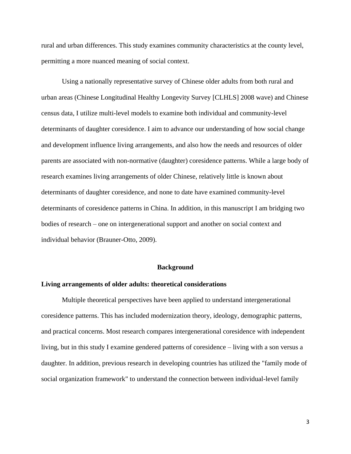rural and urban differences. This study examines community characteristics at the county level, permitting a more nuanced meaning of social context.

Using a nationally representative survey of Chinese older adults from both rural and urban areas (Chinese Longitudinal Healthy Longevity Survey [CLHLS] 2008 wave) and Chinese census data, I utilize multi-level models to examine both individual and community-level determinants of daughter coresidence. I aim to advance our understanding of how social change and development influence living arrangements, and also how the needs and resources of older parents are associated with non-normative (daughter) coresidence patterns. While a large body of research examines living arrangements of older Chinese, relatively little is known about determinants of daughter coresidence, and none to date have examined community-level determinants of coresidence patterns in China. In addition, in this manuscript I am bridging two bodies of research – one on intergenerational support and another on social context and individual behavior (Brauner-Otto, 2009).

#### **Background**

#### **Living arrangements of older adults: theoretical considerations**

Multiple theoretical perspectives have been applied to understand intergenerational coresidence patterns. This has included modernization theory, ideology, demographic patterns, and practical concerns. Most research compares intergenerational coresidence with independent living, but in this study I examine gendered patterns of coresidence – living with a son versus a daughter. In addition, previous research in developing countries has utilized the "family mode of social organization framework" to understand the connection between individual-level family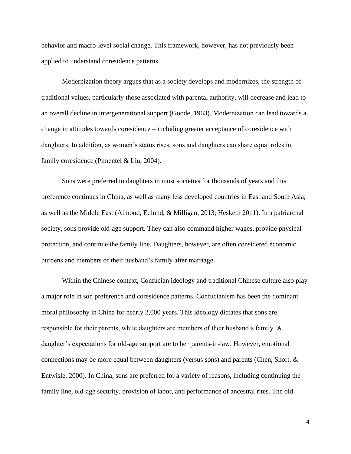behavior and macro-level social change. This framework, however, has not previously been applied to understand coresidence patterns.

Modernization theory argues that as a society develops and modernizes, the strength of traditional values, particularly those associated with parental authority, will decrease and lead to an overall decline in intergenerational support (Goode, 1963). Modernization can lead towards a change in attitudes towards coresidence – including greater acceptance of coresidence with daughters. In addition, as women's status rises, sons and daughters can share equal roles in family coresidence (Pimentel & Liu, 2004).

Sons were preferred to daughters in most societies for thousands of years and this preference continues in China, as well as many less developed countries in East and South Asia, as well as the Middle East (Almond, Edlund, & Milligan, 2013; Hesketh 2011). In a patriarchal society, sons provide old-age support. They can also command higher wages, provide physical protection, and continue the family line. Daughters, however, are often considered economic burdens and members of their husband's family after marriage.

Within the Chinese context, Confucian ideology and traditional Chinese culture also play a major role in son preference and coresidence patterns. Confucianism has been the dominant moral philosophy in China for nearly 2,000 years. This ideology dictates that sons are responsible for their parents, while daughters are members of their husband's family. A daughter's expectations for old-age support are to her parents-in-law. However, emotional connections may be more equal between daughters (versus sons) and parents (Chen, Short, & Entwisle, 2000). In China, sons are preferred for a variety of reasons, including continuing the family line, old-age security, provision of labor, and performance of ancestral rites. The old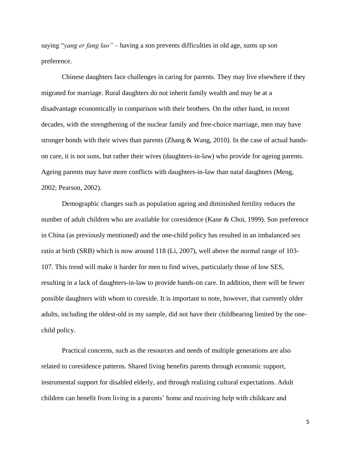saying "*yang er fang lao" –* having a son prevents difficulties in old age, sums up son preference.

Chinese daughters face challenges in caring for parents. They may live elsewhere if they migrated for marriage. Rural daughters do not inherit family wealth and may be at a disadvantage economically in comparison with their brothers. On the other hand, in recent decades, with the strengthening of the nuclear family and free-choice marriage, men may have stronger bonds with their wives than parents (Zhang  $\&$  Wang, 2010). In the case of actual handson care, it is not sons, but rather their wives (daughters-in-law) who provide for ageing parents. Ageing parents may have more conflicts with daughters-in-law than natal daughters (Meng, 2002; Pearson, 2002).

Demographic changes such as population ageing and diminished fertility reduces the number of adult children who are available for coresidence (Kane & Choi, 1999). Son preference in China (as previously mentioned) and the one-child policy has resulted in an imbalanced sex ratio at birth (SRB) which is now around 118 (Li, 2007), well above the normal range of 103- 107. This trend will make it harder for men to find wives, particularly those of low SES, resulting in a lack of daughters-in-law to provide hands-on care. In addition, there will be fewer possible daughters with whom to coreside. It is important to note, however, that currently older adults, including the oldest-old in my sample, did not have their childbearing limited by the onechild policy.

Practical concerns, such as the resources and needs of multiple generations are also related to coresidence patterns. Shared living benefits parents through economic support, instrumental support for disabled elderly, and through realizing cultural expectations. Adult children can benefit from living in a parents' home and receiving help with childcare and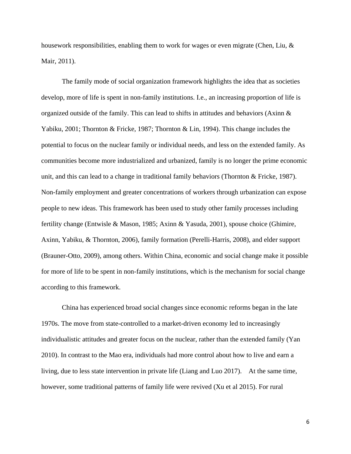housework responsibilities, enabling them to work for wages or even migrate (Chen, Liu, & Mair, 2011).

The family mode of social organization framework highlights the idea that as societies develop, more of life is spent in non-family institutions. I.e., an increasing proportion of life is organized outside of the family. This can lead to shifts in attitudes and behaviors (Axinn & Yabiku, 2001; Thornton & Fricke, 1987; Thornton & Lin, 1994). This change includes the potential to focus on the nuclear family or individual needs, and less on the extended family. As communities become more industrialized and urbanized, family is no longer the prime economic unit, and this can lead to a change in traditional family behaviors (Thornton & Fricke, 1987). Non-family employment and greater concentrations of workers through urbanization can expose people to new ideas. This framework has been used to study other family processes including fertility change (Entwisle & Mason, 1985; Axinn & Yasuda, 2001), spouse choice (Ghimire, Axinn, Yabiku, & Thornton, 2006), family formation (Perelli-Harris, 2008), and elder support (Brauner-Otto, 2009), among others. Within China, economic and social change make it possible for more of life to be spent in non-family institutions, which is the mechanism for social change according to this framework.

China has experienced broad social changes since economic reforms began in the late 1970s. The move from state-controlled to a market-driven economy led to increasingly individualistic attitudes and greater focus on the nuclear, rather than the extended family (Yan 2010). In contrast to the Mao era, individuals had more control about how to live and earn a living, due to less state intervention in private life (Liang and Luo 2017). At the same time, however, some traditional patterns of family life were revived (Xu et al 2015). For rural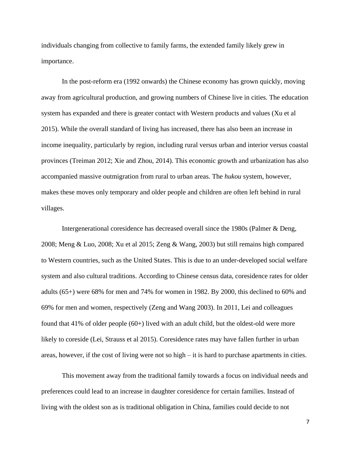individuals changing from collective to family farms, the extended family likely grew in importance.

In the post-reform era (1992 onwards) the Chinese economy has grown quickly, moving away from agricultural production, and growing numbers of Chinese live in cities. The education system has expanded and there is greater contact with Western products and values (Xu et al 2015). While the overall standard of living has increased, there has also been an increase in income inequality, particularly by region, including rural versus urban and interior versus coastal provinces (Treiman 2012; Xie and Zhou, 2014). This economic growth and urbanization has also accompanied massive outmigration from rural to urban areas. The *hukou* system, however, makes these moves only temporary and older people and children are often left behind in rural villages.

Intergenerational coresidence has decreased overall since the 1980s (Palmer & Deng, 2008; Meng & Luo, 2008; Xu et al 2015; Zeng & Wang, 2003) but still remains high compared to Western countries, such as the United States. This is due to an under-developed social welfare system and also cultural traditions. According to Chinese census data, coresidence rates for older adults (65+) were 68% for men and 74% for women in 1982. By 2000, this declined to 60% and 69% for men and women, respectively (Zeng and Wang 2003). In 2011, Lei and colleagues found that 41% of older people (60+) lived with an adult child, but the oldest-old were more likely to coreside (Lei, Strauss et al 2015). Coresidence rates may have fallen further in urban areas, however, if the cost of living were not so high – it is hard to purchase apartments in cities.

This movement away from the traditional family towards a focus on individual needs and preferences could lead to an increase in daughter coresidence for certain families. Instead of living with the oldest son as is traditional obligation in China, families could decide to not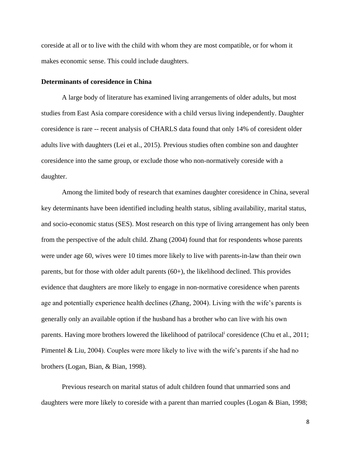coreside at all or to live with the child with whom they are most compatible, or for whom it makes economic sense. This could include daughters.

#### **Determinants of coresidence in China**

A large body of literature has examined living arrangements of older adults, but most studies from East Asia compare coresidence with a child versus living independently. Daughter coresidence is rare -- recent analysis of CHARLS data found that only 14% of coresident older adults live with daughters (Lei et al., 2015). Previous studies often combine son and daughter coresidence into the same group, or exclude those who non-normatively coreside with a daughter.

Among the limited body of research that examines daughter coresidence in China, several key determinants have been identified including health status, sibling availability, marital status, and socio-economic status (SES). Most research on this type of living arrangement has only been from the perspective of the adult child. Zhang (2004) found that for respondents whose parents were under age 60, wives were 10 times more likely to live with parents-in-law than their own parents, but for those with older adult parents (60+), the likelihood declined. This provides evidence that daughters are more likely to engage in non-normative coresidence when parents age and potentially experience health declines (Zhang, 2004). Living with the wife's parents is generally only an available option if the husband has a brother who can live with his own parents. Having more brothers lowered the likelihood of patrilocal<sup>i</sup> coresidence (Chu et al., 2011; Pimentel & Liu, 2004). Couples were more likely to live with the wife's parents if she had no brothers (Logan, Bian, & Bian, 1998).

Previous research on marital status of adult children found that unmarried sons and daughters were more likely to coreside with a parent than married couples (Logan & Bian, 1998;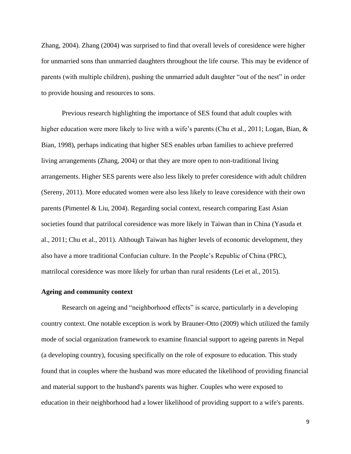Zhang, 2004). Zhang (2004) was surprised to find that overall levels of coresidence were higher for unmarried sons than unmarried daughters throughout the life course. This may be evidence of parents (with multiple children), pushing the unmarried adult daughter "out of the nest" in order to provide housing and resources to sons.

Previous research highlighting the importance of SES found that adult couples with higher education were more likely to live with a wife's parents (Chu et al., 2011; Logan, Bian, & Bian, 1998), perhaps indicating that higher SES enables urban families to achieve preferred living arrangements (Zhang, 2004) or that they are more open to non-traditional living arrangements. Higher SES parents were also less likely to prefer coresidence with adult children (Sereny, 2011). More educated women were also less likely to leave coresidence with their own parents (Pimentel & Liu, 2004). Regarding social context, research comparing East Asian societies found that patrilocal coresidence was more likely in Taiwan than in China (Yasuda et al., 2011; Chu et al., 2011). Although Taiwan has higher levels of economic development, they also have a more traditional Confucian culture. In the People's Republic of China (PRC), matrilocal coresidence was more likely for urban than rural residents (Lei et al., 2015).

#### **Ageing and community context**

Research on ageing and "neighborhood effects" is scarce, particularly in a developing country context. One notable exception is work by Brauner-Otto (2009) which utilized the family mode of social organization framework to examine financial support to ageing parents in Nepal (a developing country), focusing specifically on the role of exposure to education. This study found that in couples where the husband was more educated the likelihood of providing financial and material support to the husband's parents was higher. Couples who were exposed to education in their neighborhood had a lower likelihood of providing support to a wife's parents.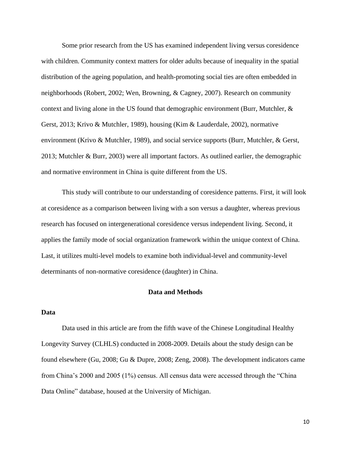Some prior research from the US has examined independent living versus coresidence with children. Community context matters for older adults because of inequality in the spatial distribution of the ageing population, and health-promoting social ties are often embedded in neighborhoods (Robert, 2002; Wen, Browning, & Cagney, 2007). Research on community context and living alone in the US found that demographic environment (Burr, Mutchler, & Gerst, 2013; Krivo & Mutchler, 1989), housing (Kim & Lauderdale, 2002), normative environment (Krivo & Mutchler, 1989), and social service supports (Burr, Mutchler, & Gerst, 2013; Mutchler & Burr, 2003) were all important factors. As outlined earlier, the demographic and normative environment in China is quite different from the US.

This study will contribute to our understanding of coresidence patterns. First, it will look at coresidence as a comparison between living with a son versus a daughter, whereas previous research has focused on intergenerational coresidence versus independent living. Second, it applies the family mode of social organization framework within the unique context of China. Last, it utilizes multi-level models to examine both individual-level and community-level determinants of non-normative coresidence (daughter) in China.

#### **Data and Methods**

# **Data**

Data used in this article are from the fifth wave of the Chinese Longitudinal Healthy Longevity Survey (CLHLS) conducted in 2008-2009. Details about the study design can be found elsewhere (Gu, [2008;](file:///C:/Users/User/Google%20Drive/Research/CONTEXT/Work/JGSS%20submission/Manuscript%20Nov%2014.docx%23_ENREF_7) Gu & [Dupre,](file:///C:/Users/User/Google%20Drive/Research/CONTEXT/Work/JGSS%20submission/Manuscript%20Nov%2014.docx%23_ENREF_8) 2008; [Zeng,](file:///C:/Users/User/Google%20Drive/Research/CONTEXT/Work/JGSS%20submission/Manuscript%20Nov%2014.docx%23_ENREF_27) 2008). The development indicators came from China's 2000 and 2005 (1%) census. All census data were accessed through the "China Data Online" database, housed at the University of Michigan.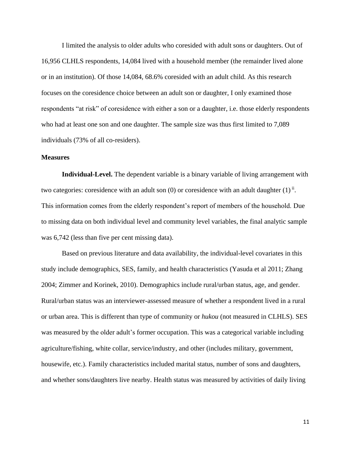I limited the analysis to older adults who coresided with adult sons or daughters. Out of 16,956 CLHLS respondents, 14,084 lived with a household member (the remainder lived alone or in an institution). Of those 14,084, 68.6% coresided with an adult child. As this research focuses on the coresidence choice between an adult son or daughter, I only examined those respondents "at risk" of coresidence with either a son or a daughter, i.e. those elderly respondents who had at least one son and one daughter. The sample size was thus first limited to 7,089 individuals (73% of all co-residers).

# **Measures**

**Individual-Level.** The dependent variable is a binary variable of living arrangement with two categories: coresidence with an adult son  $(0)$  or coresidence with an adult daughter  $(1)^{ii}$ . This information comes from the elderly respondent's report of members of the household. Due to missing data on both individual level and community level variables, the final analytic sample was  $6,742$  (less than five per cent missing data).

Based on previous literature and data availability, the individual-level covariates in this study include demographics, SES, family, and health characteristics (Yasuda et al 2011; Zhang 2004; Zimmer and Korinek, 2010). Demographics include rural/urban status, age, and gender. Rural/urban status was an interviewer-assessed measure of whether a respondent lived in a rural or urban area. This is different than type of community or *hukou* (not measured in CLHLS). SES was measured by the older adult's former occupation. This was a categorical variable including agriculture/fishing, white collar, service/industry, and other (includes military, government, housewife, etc.). Family characteristics included marital status, number of sons and daughters, and whether sons/daughters live nearby. Health status was measured by activities of daily living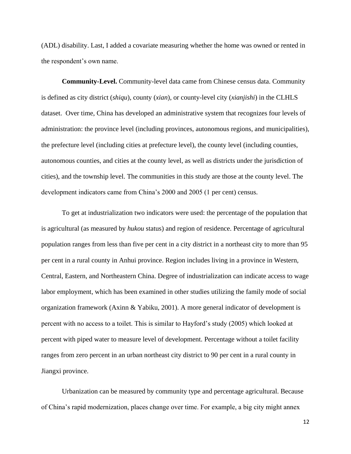(ADL) disability. Last, I added a covariate measuring whether the home was owned or rented in the respondent's own name.

**Community-Level.** Community-level data came from Chinese census data. Community is defined as city district (*shiqu*), county (*xian*), or county-level city (*xianjishi*) in the CLHLS dataset. Over time, China has developed an administrative system that recognizes four levels of administration: the province level (including provinces, autonomous regions, and municipalities), the prefecture level (including cities at prefecture level), the county level (including counties, autonomous counties, and cities at the county level, as well as districts under the jurisdiction of cities), and the township level. The communities in this study are those at the county level. The development indicators came from China's 2000 and 2005 (1 per cent) census.

To get at industrialization two indicators were used: the percentage of the population that is agricultural (as measured by *hukou* status) and region of residence. Percentage of agricultural population ranges from less than five per cent in a city district in a northeast city to more than 95 per cent in a rural county in Anhui province. Region includes living in a province in Western, Central, Eastern, and Northeastern China. Degree of industrialization can indicate access to wage labor employment, which has been examined in other studies utilizing the family mode of social organization framework (Axinn & Yabiku, 2001). A more general indicator of development is percent with no access to a toilet. This is similar to Hayford's study (2005) which looked at percent with piped water to measure level of development. Percentage without a toilet facility ranges from zero percent in an urban northeast city district to 90 per cent in a rural county in Jiangxi province.

Urbanization can be measured by community type and percentage agricultural. Because of China's rapid modernization, places change over time. For example, a big city might annex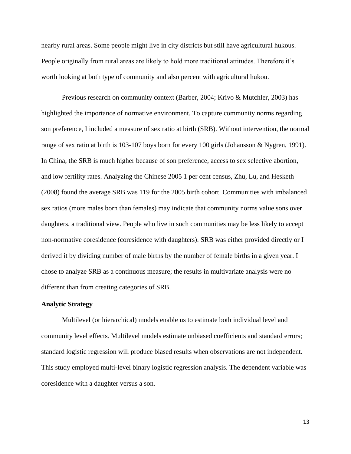nearby rural areas. Some people might live in city districts but still have agricultural hukous. People originally from rural areas are likely to hold more traditional attitudes. Therefore it's worth looking at both type of community and also percent with agricultural hukou.

Previous research on community context (Barber, 2004; Krivo & Mutchler, 2003) has highlighted the importance of normative environment. To capture community norms regarding son preference, I included a measure of sex ratio at birth (SRB). Without intervention, the normal range of sex ratio at birth is 103-107 boys born for every 100 girls (Johansson & Nygren, 1991). In China, the SRB is much higher because of son preference, access to sex selective abortion, and low fertility rates. Analyzing the Chinese 2005 1 per cent census, Zhu, Lu, and Hesketh (2008) found the average SRB was 119 for the 2005 birth cohort. Communities with imbalanced sex ratios (more males born than females) may indicate that community norms value sons over daughters, a traditional view. People who live in such communities may be less likely to accept non-normative coresidence (coresidence with daughters). SRB was either provided directly or I derived it by dividing number of male births by the number of female births in a given year. I chose to analyze SRB as a continuous measure; the results in multivariate analysis were no different than from creating categories of SRB.

# **Analytic Strategy**

Multilevel (or hierarchical) models enable us to estimate both individual level and community level effects. Multilevel models estimate unbiased coefficients and standard errors; standard logistic regression will produce biased results when observations are not independent. This study employed multi-level binary logistic regression analysis. The dependent variable was coresidence with a daughter versus a son.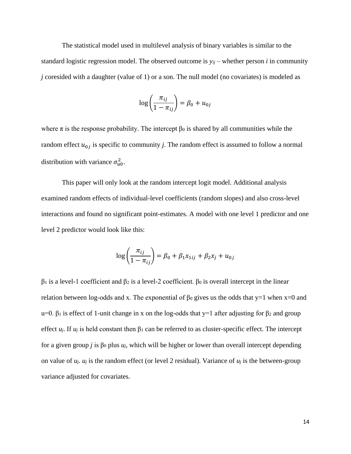The statistical model used in multilevel analysis of binary variables is similar to the standard logistic regression model. The observed outcome is  $y_{ij}$  – whether person *i* in community *j* coresided with a daughter (value of 1) or a son. The null model (no covariates) is modeled as

$$
\log\left(\frac{\pi_{ij}}{1-\pi_{ij}}\right) = \beta_0 + u_{0j}
$$

where  $\pi$  is the response probability. The intercept  $\beta_0$  is shared by all communities while the random effect  $u_{0j}$  is specific to community *j*. The random effect is assumed to follow a normal distribution with variance  $\sigma_{u0}^2$ .

This paper will only look at the random intercept logit model. Additional analysis examined random effects of individual-level coefficients (random slopes) and also cross-level interactions and found no significant point-estimates. A model with one level 1 predictor and one level 2 predictor would look like this:

$$
\log\left(\frac{\pi_{ij}}{1 - \pi_{ij}}\right) = \beta_0 + \beta_1 x_{1ij} + \beta_2 x_j + u_{0j}
$$

 $β<sub>1</sub>$  is a level-1 coefficient and  $β<sub>2</sub>$  is a level-2 coefficient.  $β<sub>0</sub>$  is overall intercept in the linear relation between log-odds and x. The exponential of  $β_0$  gives us the odds that y=1 when x=0 and u=0. β<sub>1</sub> is effect of 1-unit change in x on the log-odds that  $y=1$  after adjusting for β<sub>2</sub> and group effect  $u_i$ . If  $u_j$  is held constant then  $\beta_1$  can be referred to as cluster-specific effect. The intercept for a given group *j* is β<sub>0</sub> plus  $u_j$ , which will be higher or lower than overall intercept depending on value of  $u_i$ ,  $u_j$  is the random effect (or level 2 residual). Variance of  $u_j$  is the between-group variance adjusted for covariates.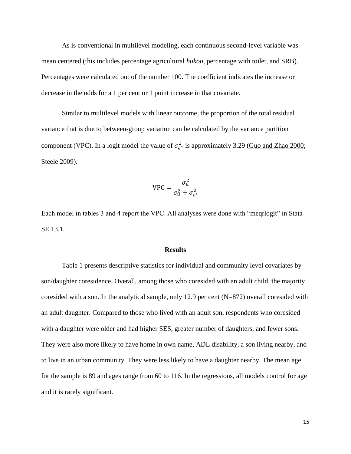As is conventional in multilevel modeling, each continuous second-level variable was mean centered (this includes percentage agricultural *hukou*, percentage with toilet, and SRB). Percentages were calculated out of the number 100. The coefficient indicates the increase or decrease in the odds for a 1 per cent or 1 point increase in that covariate.

Similar to multilevel models with linear outcome, the proportion of the total residual variance that is due to between-group variation can be calculated by the variance partition component (VPC). In a logit model the value of  $\sigma_{e^*}^2$  is approximately 3.29 [\(Guo and Zhao 2000;](file:///C:/Users/User/Google%20Drive/Research/CONTEXT/Work/JGSS%20submission/Manuscript%20Nov%2014.docx%23_ENREF_9) [Steele 2009\)](file:///C:/Users/User/Google%20Drive/Research/CONTEXT/Work/JGSS%20submission/Manuscript%20Nov%2014.docx%23_ENREF_23).

$$
VPC = \frac{\sigma_u^2}{\sigma_u^2 + \sigma_{e^*}^2}
$$

Each model in tables 3 and 4 report the VPC. All analyses were done with "meqrlogit" in Stata SE 13.1.

#### **Results**

Table 1 presents descriptive statistics for individual and community level covariates by son/daughter coresidence. Overall, among those who coresided with an adult child, the majority coresided with a son. In the analytical sample, only 12.9 per cent (N=872) overall coresided with an adult daughter. Compared to those who lived with an adult son, respondents who coresided with a daughter were older and had higher SES, greater number of daughters, and fewer sons. They were also more likely to have home in own name, ADL disability, a son living nearby, and to live in an urban community. They were less likely to have a daughter nearby. The mean age for the sample is 89 and ages range from 60 to 116. In the regressions, all models control for age and it is rarely significant.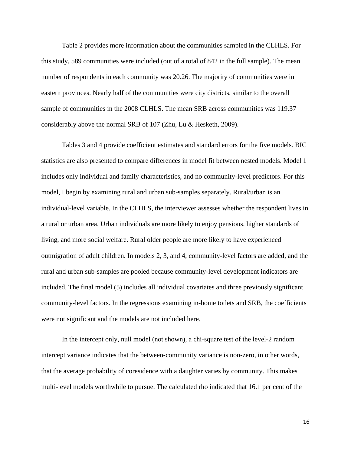Table 2 provides more information about the communities sampled in the CLHLS. For this study, 589 communities were included (out of a total of 842 in the full sample). The mean number of respondents in each community was 20.26. The majority of communities were in eastern provinces. Nearly half of the communities were city districts, similar to the overall sample of communities in the 2008 CLHLS. The mean SRB across communities was 119.37 – considerably above the normal SRB of 107 (Zhu, Lu & Hesketh, 2009).

Tables 3 and 4 provide coefficient estimates and standard errors for the five models. BIC statistics are also presented to compare differences in model fit between nested models. Model 1 includes only individual and family characteristics, and no community-level predictors. For this model, I begin by examining rural and urban sub-samples separately. Rural/urban is an individual-level variable. In the CLHLS, the interviewer assesses whether the respondent lives in a rural or urban area. Urban individuals are more likely to enjoy pensions, higher standards of living, and more social welfare. Rural older people are more likely to have experienced outmigration of adult children. In models 2, 3, and 4, community-level factors are added, and the rural and urban sub-samples are pooled because community-level development indicators are included. The final model (5) includes all individual covariates and three previously significant community-level factors. In the regressions examining in-home toilets and SRB, the coefficients were not significant and the models are not included here.

In the intercept only, null model (not shown), a chi-square test of the level-2 random intercept variance indicates that the between-community variance is non-zero, in other words, that the average probability of coresidence with a daughter varies by community. This makes multi-level models worthwhile to pursue. The calculated rho indicated that 16.1 per cent of the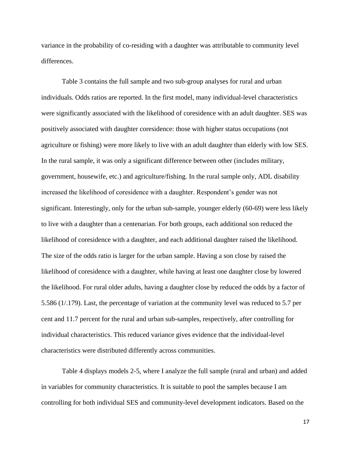variance in the probability of co-residing with a daughter was attributable to community level differences.

Table 3 contains the full sample and two sub-group analyses for rural and urban individuals. Odds ratios are reported. In the first model, many individual-level characteristics were significantly associated with the likelihood of coresidence with an adult daughter. SES was positively associated with daughter coresidence: those with higher status occupations (not agriculture or fishing) were more likely to live with an adult daughter than elderly with low SES. In the rural sample, it was only a significant difference between other (includes military, government, housewife, etc.) and agriculture/fishing. In the rural sample only, ADL disability increased the likelihood of coresidence with a daughter. Respondent's gender was not significant. Interestingly, only for the urban sub-sample, younger elderly (60-69) were less likely to live with a daughter than a centenarian. For both groups, each additional son reduced the likelihood of coresidence with a daughter, and each additional daughter raised the likelihood. The size of the odds ratio is larger for the urban sample. Having a son close by raised the likelihood of coresidence with a daughter, while having at least one daughter close by lowered the likelihood. For rural older adults, having a daughter close by reduced the odds by a factor of 5.586 (1/.179). Last, the percentage of variation at the community level was reduced to 5.7 per cent and 11.7 percent for the rural and urban sub-samples, respectively, after controlling for individual characteristics. This reduced variance gives evidence that the individual-level characteristics were distributed differently across communities.

Table 4 displays models 2-5, where I analyze the full sample (rural and urban) and added in variables for community characteristics. It is suitable to pool the samples because I am controlling for both individual SES and community-level development indicators. Based on the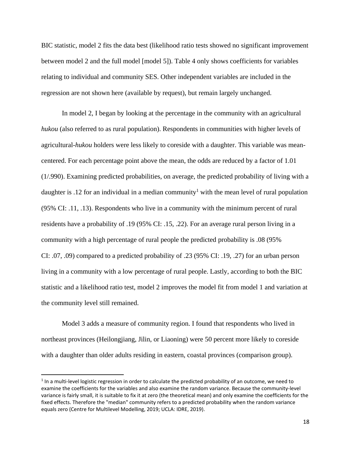BIC statistic, model 2 fits the data best (likelihood ratio tests showed no significant improvement between model 2 and the full model [model 5]). Table 4 only shows coefficients for variables relating to individual and community SES. Other independent variables are included in the regression are not shown here (available by request), but remain largely unchanged.

In model 2, I began by looking at the percentage in the community with an agricultural *hukou* (also referred to as rural population). Respondents in communities with higher levels of agricultural-*hukou* holders were less likely to coreside with a daughter. This variable was meancentered. For each percentage point above the mean, the odds are reduced by a factor of 1.01 (1/.990). Examining predicted probabilities, on average, the predicted probability of living with a daughter is .12 for an individual in a median community<sup>1</sup> with the mean level of rural population (95% CI: .11, .13). Respondents who live in a community with the minimum percent of rural residents have a probability of .19 (95% CI: .15, .22). For an average rural person living in a community with a high percentage of rural people the predicted probability is .08 (95% CI: .07, .09) compared to a predicted probability of .23 (95% CI: .19, .27) for an urban person living in a community with a low percentage of rural people. Lastly, according to both the BIC statistic and a likelihood ratio test, model 2 improves the model fit from model 1 and variation at the community level still remained.

Model 3 adds a measure of community region. I found that respondents who lived in northeast provinces (Heilongjiang, Jilin, or Liaoning) were 50 percent more likely to coreside with a daughter than older adults residing in eastern, coastal provinces (comparison group).

 $\overline{\phantom{a}}$ 

 $<sup>1</sup>$  In a multi-level logistic regression in order to calculate the predicted probability of an outcome, we need to</sup> examine the coefficients for the variables and also examine the random variance. Because the community-level variance is fairly small, it is suitable to fix it at zero (the theoretical mean) and only examine the coefficients for the fixed effects. Therefore the "median" community refers to a predicted probability when the random variance equals zero (Centre for Multilevel Modelling, 2019; UCLA: IDRE, 2019).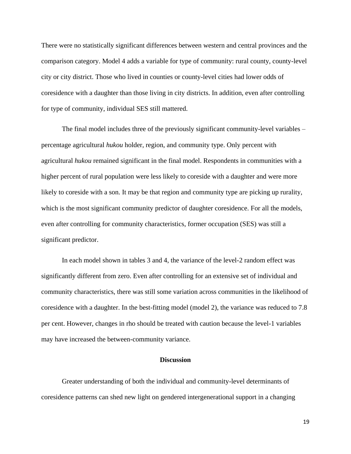There were no statistically significant differences between western and central provinces and the comparison category. Model 4 adds a variable for type of community: rural county, county-level city or city district. Those who lived in counties or county-level cities had lower odds of coresidence with a daughter than those living in city districts. In addition, even after controlling for type of community, individual SES still mattered.

The final model includes three of the previously significant community-level variables – percentage agricultural *hukou* holder, region, and community type. Only percent with agricultural *hukou* remained significant in the final model. Respondents in communities with a higher percent of rural population were less likely to coreside with a daughter and were more likely to coreside with a son. It may be that region and community type are picking up rurality, which is the most significant community predictor of daughter coresidence. For all the models, even after controlling for community characteristics, former occupation (SES) was still a significant predictor.

In each model shown in tables 3 and 4, the variance of the level-2 random effect was significantly different from zero. Even after controlling for an extensive set of individual and community characteristics, there was still some variation across communities in the likelihood of coresidence with a daughter. In the best-fitting model (model 2), the variance was reduced to 7.8 per cent. However, changes in rho should be treated with caution because the level-1 variables may have increased the between-community variance.

# **Discussion**

Greater understanding of both the individual and community-level determinants of coresidence patterns can shed new light on gendered intergenerational support in a changing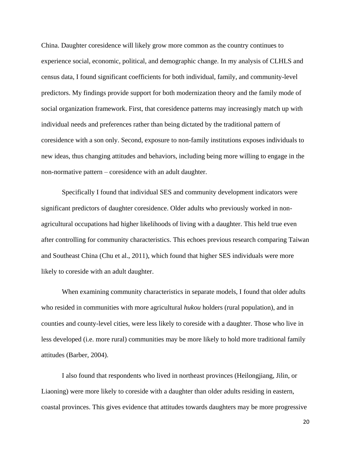China. Daughter coresidence will likely grow more common as the country continues to experience social, economic, political, and demographic change. In my analysis of CLHLS and census data, I found significant coefficients for both individual, family, and community-level predictors. My findings provide support for both modernization theory and the family mode of social organization framework. First, that coresidence patterns may increasingly match up with individual needs and preferences rather than being dictated by the traditional pattern of coresidence with a son only. Second, exposure to non-family institutions exposes individuals to new ideas, thus changing attitudes and behaviors, including being more willing to engage in the non-normative pattern – coresidence with an adult daughter.

Specifically I found that individual SES and community development indicators were significant predictors of daughter coresidence. Older adults who previously worked in nonagricultural occupations had higher likelihoods of living with a daughter. This held true even after controlling for community characteristics. This echoes previous research comparing Taiwan and Southeast China (Chu et al., 2011), which found that higher SES individuals were more likely to coreside with an adult daughter.

When examining community characteristics in separate models, I found that older adults who resided in communities with more agricultural *hukou* holders (rural population), and in counties and county-level cities, were less likely to coreside with a daughter. Those who live in less developed (i.e. more rural) communities may be more likely to hold more traditional family attitudes (Barber, 2004).

I also found that respondents who lived in northeast provinces (Heilongjiang, Jilin, or Liaoning) were more likely to coreside with a daughter than older adults residing in eastern, coastal provinces. This gives evidence that attitudes towards daughters may be more progressive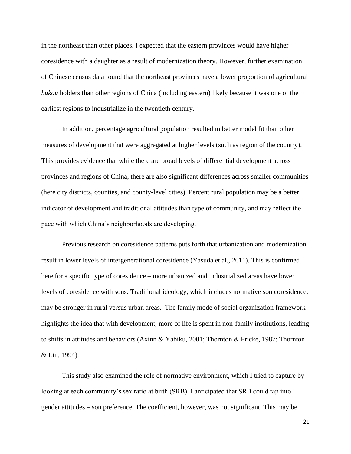in the northeast than other places. I expected that the eastern provinces would have higher coresidence with a daughter as a result of modernization theory. However, further examination of Chinese census data found that the northeast provinces have a lower proportion of agricultural *hukou* holders than other regions of China (including eastern) likely because it was one of the earliest regions to industrialize in the twentieth century.

In addition, percentage agricultural population resulted in better model fit than other measures of development that were aggregated at higher levels (such as region of the country). This provides evidence that while there are broad levels of differential development across provinces and regions of China, there are also significant differences across smaller communities (here city districts, counties, and county-level cities). Percent rural population may be a better indicator of development and traditional attitudes than type of community, and may reflect the pace with which China's neighborhoods are developing.

Previous research on coresidence patterns puts forth that urbanization and modernization result in lower levels of intergenerational coresidence (Yasuda et al., 2011). This is confirmed here for a specific type of coresidence – more urbanized and industrialized areas have lower levels of coresidence with sons. Traditional ideology, which includes normative son coresidence, may be stronger in rural versus urban areas. The family mode of social organization framework highlights the idea that with development, more of life is spent in non-family institutions, leading to shifts in attitudes and behaviors (Axinn & Yabiku, 2001; Thornton & Fricke, 1987; Thornton & Lin, 1994).

This study also examined the role of normative environment, which I tried to capture by looking at each community's sex ratio at birth (SRB). I anticipated that SRB could tap into gender attitudes – son preference. The coefficient, however, was not significant. This may be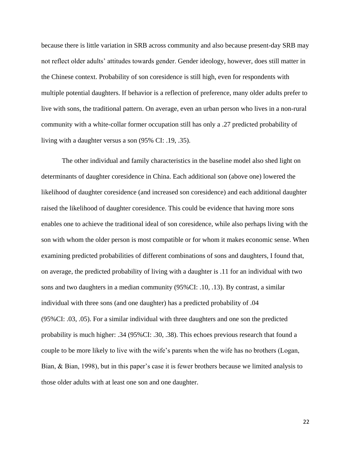because there is little variation in SRB across community and also because present-day SRB may not reflect older adults' attitudes towards gender. Gender ideology, however, does still matter in the Chinese context. Probability of son coresidence is still high, even for respondents with multiple potential daughters. If behavior is a reflection of preference, many older adults prefer to live with sons, the traditional pattern. On average, even an urban person who lives in a non-rural community with a white-collar former occupation still has only a .27 predicted probability of living with a daughter versus a son (95% CI: .19, .35).

The other individual and family characteristics in the baseline model also shed light on determinants of daughter coresidence in China. Each additional son (above one) lowered the likelihood of daughter coresidence (and increased son coresidence) and each additional daughter raised the likelihood of daughter coresidence. This could be evidence that having more sons enables one to achieve the traditional ideal of son coresidence, while also perhaps living with the son with whom the older person is most compatible or for whom it makes economic sense. When examining predicted probabilities of different combinations of sons and daughters, I found that, on average, the predicted probability of living with a daughter is .11 for an individual with two sons and two daughters in a median community (95%CI: .10, .13). By contrast, a similar individual with three sons (and one daughter) has a predicted probability of .04 (95%CI: .03, .05). For a similar individual with three daughters and one son the predicted probability is much higher: .34 (95%CI: .30, .38). This echoes previous research that found a couple to be more likely to live with the wife's parents when the wife has no brothers (Logan, Bian, & Bian, 1998), but in this paper's case it is fewer brothers because we limited analysis to those older adults with at least one son and one daughter.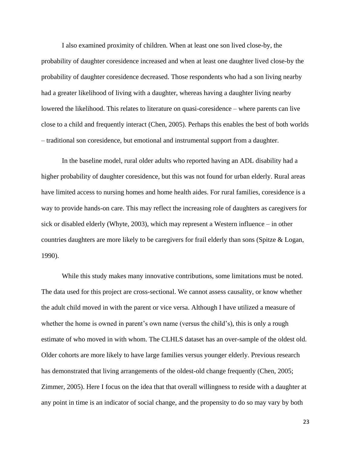I also examined proximity of children. When at least one son lived close-by, the probability of daughter coresidence increased and when at least one daughter lived close-by the probability of daughter coresidence decreased. Those respondents who had a son living nearby had a greater likelihood of living with a daughter, whereas having a daughter living nearby lowered the likelihood. This relates to literature on quasi-coresidence – where parents can live close to a child and frequently interact (Chen, 2005). Perhaps this enables the best of both worlds – traditional son coresidence, but emotional and instrumental support from a daughter.

In the baseline model, rural older adults who reported having an ADL disability had a higher probability of daughter coresidence, but this was not found for urban elderly. Rural areas have limited access to nursing homes and home health aides. For rural families, coresidence is a way to provide hands-on care. This may reflect the increasing role of daughters as caregivers for sick or disabled elderly (Whyte, 2003), which may represent a Western influence – in other countries daughters are more likely to be caregivers for frail elderly than sons (Spitze & Logan, 1990).

While this study makes many innovative contributions, some limitations must be noted. The data used for this project are cross-sectional. We cannot assess causality, or know whether the adult child moved in with the parent or vice versa. Although I have utilized a measure of whether the home is owned in parent's own name (versus the child's), this is only a rough estimate of who moved in with whom. The CLHLS dataset has an over-sample of the oldest old. Older cohorts are more likely to have large families versus younger elderly. Previous research has demonstrated that living arrangements of the oldest-old change frequently (Chen, 2005; [Zimmer,](file:///C:/Users/User/Google%20Drive/Research/CONTEXT/Work/JGSS%20submission/Manuscript%20Nov%2014.docx%23_ENREF_32) 2005). Here I focus on the idea that that overall willingness to reside with a daughter at any point in time is an indicator of social change, and the propensity to do so may vary by both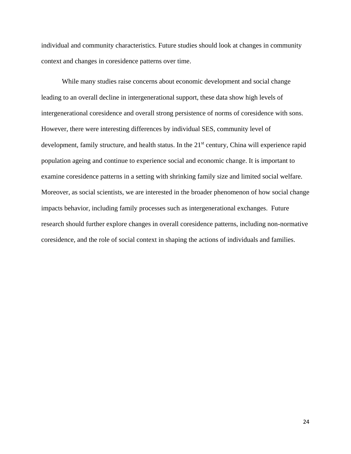individual and community characteristics. Future studies should look at changes in community context and changes in coresidence patterns over time.

While many studies raise concerns about economic development and social change leading to an overall decline in intergenerational support, these data show high levels of intergenerational coresidence and overall strong persistence of norms of coresidence with sons. However, there were interesting differences by individual SES, community level of development, family structure, and health status. In the 21<sup>st</sup> century, China will experience rapid population ageing and continue to experience social and economic change. It is important to examine coresidence patterns in a setting with shrinking family size and limited social welfare. Moreover, as social scientists, we are interested in the broader phenomenon of how social change impacts behavior, including family processes such as intergenerational exchanges. Future research should further explore changes in overall coresidence patterns, including non-normative coresidence, and the role of social context in shaping the actions of individuals and families.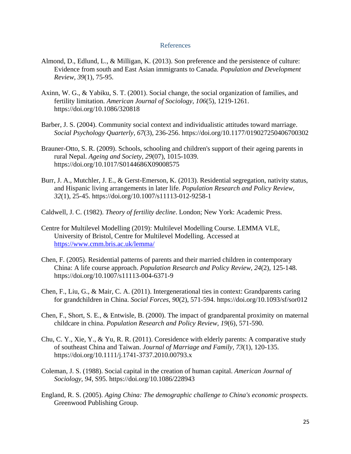### References

- Almond, D., Edlund, L., & Milligan, K. (2013). Son preference and the persistence of culture: Evidence from south and East Asian immigrants to Canada. *Population and Development Review, 39*(1), 75-95.
- Axinn, W. G., & Yabiku, S. T. (2001). Social change, the social organization of families, and fertility limitation. *American Journal of Sociology, 106*(5), 1219-1261. https://doi.org/10.1086/320818
- Barber, J. S. (2004). Community social context and individualistic attitudes toward marriage. *Social Psychology Quarterly, 67*(3), 236-256. https://doi.org/10.1177/019027250406700302
- Brauner-Otto, S. R. (2009). Schools, schooling and children's support of their ageing parents in rural Nepal. *Ageing and Society, 29*(07), 1015-1039. https://doi.org/10.1017/S0144686X09008575
- Burr, J. A., Mutchler, J. E., & Gerst-Emerson, K. (2013). Residential segregation, nativity status, and Hispanic living arrangements in later life. *Population Research and Policy Review, 32*(1), 25-45. https://doi.org/10.1007/s11113-012-9258-1
- Caldwell, J. C. (1982). *Theory of fertility decline*. London; New York: Academic Press.
- Centre for Multilevel Modelling (2019): Multilevel Modelling Course. LEMMA VLE, University of Bristol, Centre for Multilevel Modelling. Accessed at <https://www.cmm.bris.ac.uk/lemma/>
- Chen, F. (2005). Residential patterns of parents and their married children in contemporary China: A life course approach. *Population Research and Policy Review, 24*(2), 125-148. https://doi.org/10.1007/s11113-004-6371-9
- Chen, F., Liu, G., & Mair, C. A. (2011). Intergenerational ties in context: Grandparents caring for grandchildren in China. *Social Forces, 90*(2), 571-594. https://doi.org/10.1093/sf/sor012
- Chen, F., Short, S. E., & Entwisle, B. (2000). The impact of grandparental proximity on maternal childcare in china. *Population Research and Policy Review, 19*(6), 571-590.
- Chu, C. Y., Xie, Y., & Yu, R. R. (2011). Coresidence with elderly parents: A comparative study of southeast China and Taiwan. *Journal of Marriage and Family, 73*(1), 120-135. https://doi.org/10.1111/j.1741-3737.2010.00793.x
- Coleman, J. S. (1988). Social capital in the creation of human capital. *American Journal of Sociology, 94*, S95. https://doi.org/10.1086/228943
- England, R. S. (2005). *Aging China: The demographic challenge to China's economic prospects.* Greenwood Publishing Group.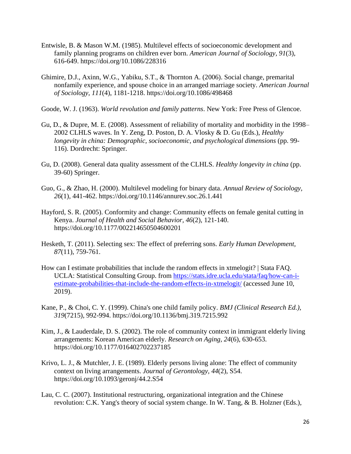- Entwisle, B. & Mason W.M. (1985). Multilevel effects of socioeconomic development and family planning programs on children ever born. *American Journal of Sociology, 91*(3), 616-649. https://doi.org/10.1086/228316
- Ghimire, D.J., Axinn, W.G., Yabiku, S.T., & Thornton A. (2006). Social change, premarital nonfamily experience, and spouse choice in an arranged marriage society. *American Journal of Sociology, 111*(4), 1181-1218. https://doi.org/10.1086/498468

Goode, W. J. (1963). *World revolution and family patterns*. New York: Free Press of Glencoe.

- Gu, D., & Dupre, M. E. (2008). Assessment of reliability of mortality and morbidity in the 1998– 2002 CLHLS waves. In Y. Zeng, D. Poston, D. A. Vlosky & D. Gu (Eds.), *Healthy longevity in china: Demographic, socioeconomic, and psychological dimensions* (pp. 99- 116). Dordrecht: Springer.
- Gu, D. (2008). General data quality assessment of the CLHLS. *Healthy longevity in china* (pp. 39-60) Springer.
- Guo, G., & Zhao, H. (2000). Multilevel modeling for binary data. *Annual Review of Sociology, 26*(1), 441-462. https://doi.org/10.1146/annurev.soc.26.1.441
- Hayford, S. R. (2005). Conformity and change: Community effects on female genital cutting in Kenya. *Journal of Health and Social Behavior, 46*(2), 121-140. https://doi.org/10.1177/002214650504600201
- Hesketh, T. (2011). Selecting sex: The effect of preferring sons. *Early Human Development, 87*(11), 759-761.
- How can I estimate probabilities that include the random effects in xtmelogit? | Stata FAQ. UCLA: Statistical Consulting Group. from [https://stats.idre.ucla.edu/stata/faq/how-can-i](https://stats.idre.ucla.edu/stata/faq/how-can-i-estimate-probabilities-that-include-the-random-effects-in-xtmelogit/)[estimate-probabilities-that-include-the-random-effects-in-xtmelogit/](https://stats.idre.ucla.edu/stata/faq/how-can-i-estimate-probabilities-that-include-the-random-effects-in-xtmelogit/) (accessed June 10, 2019).
- Kane, P., & Choi, C. Y. (1999). China's one child family policy. *BMJ (Clinical Research Ed.), 319*(7215), 992-994. https://doi.org/10.1136/bmj.319.7215.992
- Kim, J., & Lauderdale, D. S. (2002). The role of community context in immigrant elderly living arrangements: Korean American elderly. *Research on Aging, 24*(6), 630-653. https://doi.org/10.1177/016402702237185
- Krivo, L. J., & Mutchler, J. E. (1989). Elderly persons living alone: The effect of community context on living arrangements. *Journal of Gerontology, 44*(2), S54. https://doi.org/10.1093/geronj/44.2.S54
- Lau, C. C. (2007). Institutional restructuring, organizational integration and the Chinese revolution: C.K. Yang's theory of social system change. In W. Tang, & B. Holzner (Eds.),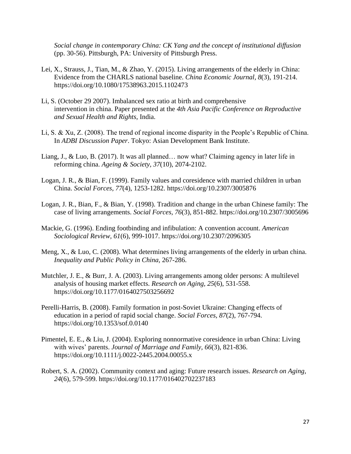*Social change in contemporary China: CK Yang and the concept of institutional diffusion* (pp. 30-56). Pittsburgh, PA: University of Pittsburgh Press.

- Lei, X., Strauss, J., Tian, M., & Zhao, Y. (2015). Living arrangements of the elderly in China: Evidence from the CHARLS national baseline. *China Economic Journal, 8*(3), 191-214. https://doi.org/10.1080/17538963.2015.1102473
- Li, S. (October 29 2007). Imbalanced sex ratio at birth and comprehensive intervention in china. Paper presented at the *4th Asia Pacific Conference on Reproductive and Sexual Health and Rights,* India.
- Li, S. & Xu, Z. (2008). The trend of regional income disparity in the People's Republic of China. In *ADBI Discussion Paper*. Tokyo: Asian Development Bank Institute.
- Liang, J., & Luo, B. (2017). It was all planned… now what? Claiming agency in later life in reforming china. *Ageing & Society, 37*(10), 2074-2102.
- Logan, J. R., & Bian, F. (1999). Family values and coresidence with married children in urban China. *Social Forces, 77*(4), 1253-1282. https://doi.org/10.2307/3005876
- Logan, J. R., Bian, F., & Bian, Y. (1998). Tradition and change in the urban Chinese family: The case of living arrangements. *Social Forces, 76*(3), 851-882. https://doi.org/10.2307/3005696
- Mackie, G. (1996). Ending footbinding and infibulation: A convention account. *American Sociological Review, 61*(6), 999-1017. https://doi.org/10.2307/2096305
- Meng, X., & Luo, C. (2008). What determines living arrangements of the elderly in urban china. *Inequality and Public Policy in China,* 267-286.
- Mutchler, J. E., & Burr, J. A. (2003). Living arrangements among older persons: A multilevel analysis of housing market effects. *Research on Aging, 25*(6), 531-558. https://doi.org/10.1177/0164027503256692
- Perelli-Harris, B. (2008). Family formation in post-Soviet Ukraine: Changing effects of education in a period of rapid social change. *Social Forces, 87*(2), 767-794. https://doi.org/10.1353/sof.0.0140
- Pimentel, E. E., & Liu, J. (2004). Exploring nonnormative coresidence in urban China: Living with wives' parents. *Journal of Marriage and Family, 66*(3), 821-836. https://doi.org/10.1111/j.0022-2445.2004.00055.x
- Robert, S. A. (2002). Community context and aging: Future research issues. *Research on Aging, 24*(6), 579-599. https://doi.org/10.1177/016402702237183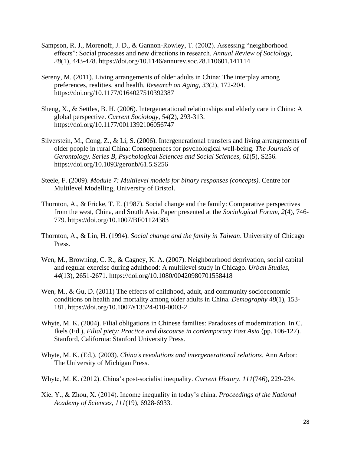- Sampson, R. J., Morenoff, J. D., & Gannon-Rowley, T. (2002). Assessing "neighborhood effects": Social processes and new directions in research. *Annual Review of Sociology, 28*(1), 443-478. https://doi.org/10.1146/annurev.soc.28.110601.141114
- Sereny, M. (2011). Living arrangements of older adults in China: The interplay among preferences, realities, and health. *Research on Aging, 33*(2), 172-204. https://doi.org/10.1177/0164027510392387
- Sheng, X., & Settles, B. H. (2006). Intergenerational relationships and elderly care in China: A global perspective. *Current Sociology, 54*(2), 293-313. https://doi.org/10.1177/0011392106056747
- Silverstein, M., Cong, Z., & Li, S. (2006). Intergenerational transfers and living arrangements of older people in rural China: Consequences for psychological well-being. *The Journals of Gerontology. Series B, Psychological Sciences and Social Sciences, 61*(5), S256. https://doi.org/10.1093/geronb/61.5.S256
- Steele, F. (2009). *Module 7: Multilevel models for binary responses (concepts)*. Centre for Multilevel Modelling, University of Bristol.
- Thornton, A., & Fricke, T. E. (1987). Social change and the family: Comparative perspectives from the west, China, and South Asia. Paper presented at the *Sociological Forum, 2*(4), 746- 779. https://doi.org/10.1007/BF01124383
- Thornton, A., & Lin, H. (1994). *Social change and the family in Taiwan*. University of Chicago Press.
- Wen, M., Browning, C. R., & Cagney, K. A. (2007). Neighbourhood deprivation, social capital and regular exercise during adulthood: A multilevel study in Chicago. *Urban Studies, 44*(13), 2651-2671. https://doi.org/10.1080/00420980701558418
- Wen, M., & Gu, D. (2011) The effects of childhood, adult, and community socioeconomic conditions on health and mortality among older adults in China. *Demography 48*(1), 153- 181. https://doi.org/10.1007/s13524-010-0003-2
- Whyte, M. K. (2004). Filial obligations in Chinese families: Paradoxes of modernization. In C. Ikels (Ed.), *Filial piety: Practice and discourse in contemporary East Asia* (pp. 106-127). Stanford, California: Stanford University Press.
- Whyte, M. K. (Ed.). (2003). *China's revolutions and intergenerational relations*. Ann Arbor: The University of Michigan Press.
- Whyte, M. K. (2012). China's post-socialist inequality. *Current History, 111*(746), 229-234.
- Xie, Y., & Zhou, X. (2014). Income inequality in today's china. *Proceedings of the National Academy of Sciences, 111*(19), 6928-6933.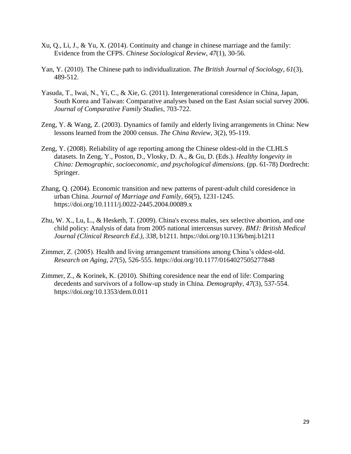- Xu, Q., Li, J., & Yu, X. (2014). Continuity and change in chinese marriage and the family: Evidence from the CFPS. *Chinese Sociological Review, 47*(1), 30-56.
- Yan, Y. (2010). The Chinese path to individualization. *The British Journal of Sociology, 61*(3), 489-512.
- Yasuda, T., Iwai, N., Yi, C., & Xie, G. (2011). Intergenerational coresidence in China, Japan, South Korea and Taiwan: Comparative analyses based on the East Asian social survey 2006. *Journal of Comparative Family Studies,* 703-722.
- Zeng, Y. & Wang, Z. (2003). Dynamics of family and elderly living arrangements in China: New lessons learned from the 2000 census. *The China Review, 3*(2), 95-119.
- Zeng, Y. (2008). Reliability of age reporting among the Chinese oldest-old in the CLHLS datasets. In Zeng, Y., Poston, D., Vlosky, D. A., & Gu, D. (Eds.). *Healthy longevity in China: Demographic, socioeconomic, and psychological dimensions.* (pp. 61-78) Dordrecht: Springer.
- Zhang, Q. (2004). Economic transition and new patterns of parent‐adult child coresidence in urban China. *Journal of Marriage and Family, 66*(5), 1231-1245. https://doi.org/10.1111/j.0022-2445.2004.00089.x
- Zhu, W. X., Lu, L., & Hesketh, T. (2009). China's excess males, sex selective abortion, and one child policy: Analysis of data from 2005 national intercensus survey. *BMJ: British Medical Journal (Clinical Research Ed.), 338*, b1211. https://doi.org/10.1136/bmj.b1211
- Zimmer, Z. (2005). Health and living arrangement transitions among China's oldest-old. *Research on Aging, 27*(5), 526-555. https://doi.org/10.1177/0164027505277848
- Zimmer, Z., & Korinek, K. (2010). Shifting coresidence near the end of life: Comparing decedents and survivors of a follow-up study in China. *Demography, 47*(3), 537-554. https://doi.org/10.1353/dem.0.011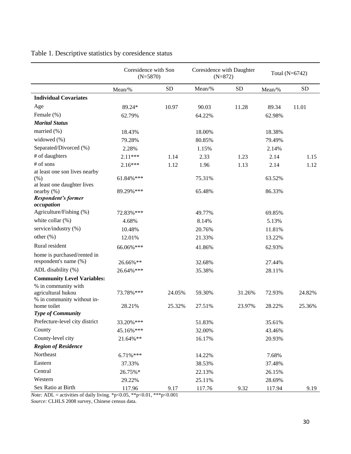# Table 1. Descriptive statistics by coresidence status

|                                                  | Coresidence with Son<br>$(N=5870)$ |           | Coresidence with Daughter<br>$(N=872)$ |           | Total (N=6742) |           |
|--------------------------------------------------|------------------------------------|-----------|----------------------------------------|-----------|----------------|-----------|
|                                                  | Mean/%                             | <b>SD</b> | Mean/%                                 | <b>SD</b> | Mean/%         | <b>SD</b> |
| <b>Individual Covariates</b>                     |                                    |           |                                        |           |                |           |
| Age                                              | 89.24*                             | 10.97     | 90.03                                  | 11.28     | 89.34          | 11.01     |
| Female (%)                                       | 62.79%                             |           | 64.22%                                 |           | 62.98%         |           |
| <b>Marital Status</b>                            |                                    |           |                                        |           |                |           |
| married (%)                                      | 18.43%                             |           | 18.00%                                 |           | 18.38%         |           |
| widowed $(\% )$                                  | 79.28%                             |           | 80.85%                                 |           | 79.49%         |           |
| Separated/Divorced (%)                           | 2.28%                              |           | 1.15%                                  |           | 2.14%          |           |
| # of daughters                                   | $2.11***$                          | 1.14      | 2.33                                   | 1.23      | 2.14           | 1.15      |
| # of sons                                        | $2.16***$                          | 1.12      | 1.96                                   | 1.13      | 2.14           | 1.12      |
| at least one son lives nearby                    |                                    |           |                                        |           |                |           |
| (% )                                             | 61.84%***                          |           | 75.31%                                 |           | 63.52%         |           |
| at least one daughter lives<br>nearby $(\% )$    | 89.29%***                          |           | 65.48%                                 |           | 86.33%         |           |
| <b>Respondent's former</b><br>occupation         |                                    |           |                                        |           |                |           |
| Agriculture/Fishing (%)                          | 72.83%***                          |           | 49.77%                                 |           | 69.85%         |           |
| white collar (%)                                 | 4.68%                              |           | 8.14%                                  |           | 5.13%          |           |
| service/industry (%)                             | 10.48%                             |           | 20.76%                                 |           | 11.81%         |           |
| other $(\% )$                                    | 12.01%                             |           | 21.33%                                 |           | 13.22%         |           |
| Rural resident                                   | 66.06%***                          |           | 41.86%                                 |           | 62.93%         |           |
| home is purchased/rented in                      |                                    |           |                                        |           |                |           |
| respondent's name (%)                            | 26.66%**                           |           | 32.68%                                 |           | 27.44%         |           |
| ADL disability (%)                               | 26.64%***                          |           | 35.38%                                 |           | 28.11%         |           |
| <b>Community Level Variables:</b>                |                                    |           |                                        |           |                |           |
| % in community with                              |                                    |           |                                        |           |                |           |
| agricultural hukou<br>% in community without in- | 73.78%***                          | 24.05%    | 59.30%                                 | 31.26%    | 72.93%         | 24.82%    |
| home toilet                                      | 28.21%                             | 25.32%    | 27.51%                                 | 23.97%    | 28.22%         | 25.36%    |
| <b>Type of Community</b>                         |                                    |           |                                        |           |                |           |
| Prefecture-level city district                   | 33.20%***                          |           | 51.83%                                 |           | 35.61%         |           |
| County                                           | 45.16%***                          |           | 32.00%                                 |           | 43.46%         |           |
| County-level city                                | 21.64%**                           |           | 16.17%                                 |           | 20.93%         |           |
| <b>Region of Residence</b>                       |                                    |           |                                        |           |                |           |
| Northeast                                        | $6.71\%***$                        |           | 14.22%                                 |           | 7.68%          |           |
| Eastern                                          | 37.33%                             |           | 38.53%                                 |           | 37.48%         |           |
| Central                                          | 26.75%*                            |           | 22.13%                                 |           | 26.15%         |           |
| Western                                          | 29.22%                             |           | 25.11%                                 |           | 28.69%         |           |
| Sex Ratio at Birth                               | 117.96                             | 9.17      | 117.76                                 | 9.32      | 117.94         | 9.19      |

*Note:* ADL = activities of daily living. \*p<0.05, \*\*p<0.01, \*\*\*p<0.001

*Source:* CLHLS 2008 survey, Chinese census data.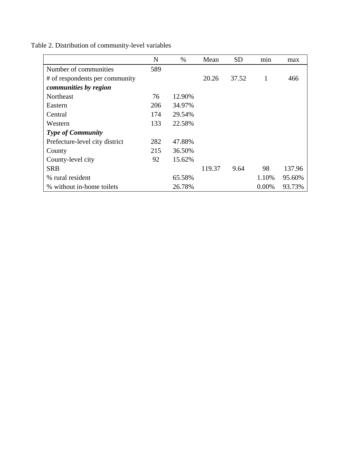|                                | N   | $\%$   | Mean   | <b>SD</b> | min   | max    |
|--------------------------------|-----|--------|--------|-----------|-------|--------|
| Number of communities          | 589 |        |        |           |       |        |
| # of respondents per community |     |        | 20.26  | 37.52     | 1     | 466    |
| communities by region          |     |        |        |           |       |        |
| Northeast                      | 76  | 12.90% |        |           |       |        |
| Eastern                        | 206 | 34.97% |        |           |       |        |
| Central                        | 174 | 29.54% |        |           |       |        |
| Western                        | 133 | 22.58% |        |           |       |        |
| <b>Type of Community</b>       |     |        |        |           |       |        |
| Prefecture-level city district | 282 | 47.88% |        |           |       |        |
| County                         | 215 | 36.50% |        |           |       |        |
| County-level city              | 92  | 15.62% |        |           |       |        |
| <b>SRB</b>                     |     |        | 119.37 | 9.64      | 98    | 137.96 |
| % rural resident               |     | 65.58% |        |           | 1.10% | 95.60% |
| % without in-home toilets      |     | 26.78% |        |           | 0.00% | 93.73% |

Table 2. Distribution of community-level variables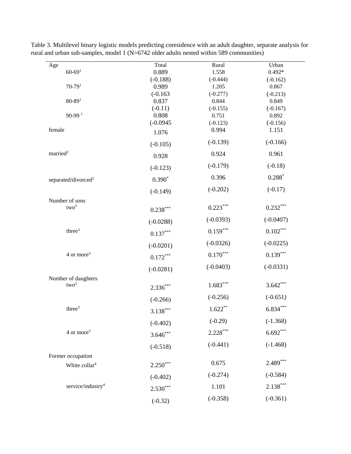| $\rm Age$                          | Total               | Rural               | Urban               |
|------------------------------------|---------------------|---------------------|---------------------|
| $60 - 691$                         | 0.889               | 1.558               | $0.492*$            |
|                                    | $(-0.188)$          | $(-0.444)$          | $(-0.162)$          |
| $70 - 79$ <sup>1</sup>             | 0.989               | 1.205               | 0.867               |
| $80 - 891$                         | $(-0.163)$<br>0.837 | $(-0.277)$<br>0.844 | $(-0.213)$<br>0.849 |
|                                    | $(-0.11)$           | $(-0.155)$          | $(-0.167)$          |
| $90-99$ <sup>1</sup>               | 0.808               | 0.751               | 0.892               |
|                                    | $(-0.0945)$         | $(-0.123)$          | $(-0.156)$          |
| female                             | 1.076               | 0.994               | 1.151               |
|                                    | $(-0.105)$          | $(-0.139)$          | $(-0.166)$          |
| married <sup>2</sup>               | 0.928               | 0.924               | 0.961               |
|                                    | $(-0.123)$          | $(-0.179)$          | $(-0.18)$           |
| separated/divorced <sup>2</sup>    | $0.390*$            | 0.396               | $0.288*$            |
|                                    | $(-0.149)$          | $(-0.202)$          | $(-0.17)$           |
| Number of sons<br>two <sup>3</sup> | $0.238***$          | $0.223***$          | $0.232***$          |
|                                    | $(-0.0288)$         | $(-0.0393)$         | $(-0.0407)$         |
| three <sup>3</sup>                 | $0.137***$          | $0.159***$          | $0.102\sp{***}$     |
|                                    | $(-0.0201)$         | $(-0.0326)$         | $(-0.0225)$         |
| $4$ or more <sup>3</sup>           | $0.172***$          | $0.170***$          | $0.139***$          |
|                                    | $(-0.0281)$         | $(-0.0403)$         | $(-0.0331)$         |
| Number of daughters                |                     |                     |                     |
| two <sup>3</sup>                   | $2.336***$          | $1.683***$          | $3.642***$          |
|                                    | $(-0.266)$          | $(-0.256)$          | $(-0.651)$          |
| three <sup>3</sup>                 | $3.138***$          | $1.622**$           | $6.834***$          |
|                                    | $(-0.402)$          | $(-0.29)$           | $(-1.368)$          |
| 4 or more <sup>3</sup>             | $3.646***$          | $2.228***$          | $6.692***$          |
|                                    | $(-0.518)$          | $(-0.441)$          | $(-1.468)$          |
| Former occupation                  |                     |                     |                     |
| White collar <sup>4</sup>          | $2.250***$          | 0.675               | $2.489***$          |
|                                    | $(-0.402)$          | $(-0.274)$          | $(-0.584)$          |
| service/industry <sup>4</sup>      | $2.530***$          | 1.101               | $2.138***$          |
|                                    | $(-0.32)$           | $(-0.358)$          | $(-0.361)$          |
|                                    |                     |                     |                     |

Table 3. Multilevel binary logistic models predicting coresidence with an adult daughter, separate analysis for rural and urban sub-samples, model 1 (N=6742 older adults nested within 589 communities)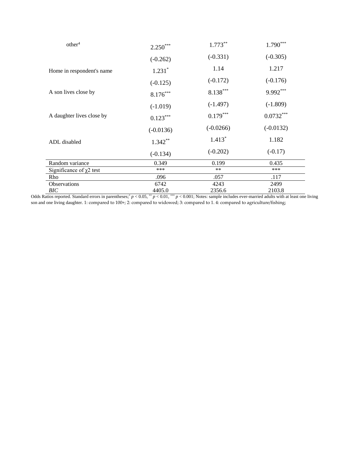| other <sup>4</sup>            | $2.250***$  | $1.773***$  | $1.790***$  |  |
|-------------------------------|-------------|-------------|-------------|--|
|                               | $(-0.262)$  | $(-0.331)$  | $(-0.305)$  |  |
| Home in respondent's name     | $1.231*$    | 1.14        | 1.217       |  |
|                               | $(-0.125)$  | $(-0.172)$  | $(-0.176)$  |  |
| A son lives close by          | $8.176***$  | $8.138***$  | 9.992***    |  |
|                               | $(-1.019)$  | $(-1.497)$  | $(-1.809)$  |  |
| A daughter lives close by     | $0.123***$  | $0.179***$  | $0.0732***$ |  |
|                               | $(-0.0136)$ | $(-0.0266)$ | $(-0.0132)$ |  |
| ADL disabled                  | $1.342***$  | $1.413*$    | 1.182       |  |
|                               | $(-0.134)$  | $(-0.202)$  | $(-0.17)$   |  |
| Random variance               | 0.349       | 0.199       | 0.435       |  |
| Significance of $\chi$ 2 test | ***         | $***$       | ***         |  |
| Rho                           | .096        | .057        | .117        |  |
| Observations                  | 6742        | 4243        | 2499        |  |
| BIC                           | 4405.0      | 2356.6      | 2103.8      |  |

Odds Ratios reported. Standard errors in parentheses;  $p < 0.05$ ,  $p < 0.01$ ,  $p < 0.001$ ; Notes: sample includes ever-married adults with at least one living son and one living daughter. 1: compared to 100+; 2: compared to widowed; 3: compared to 1. 4: compared to agriculture/fishing;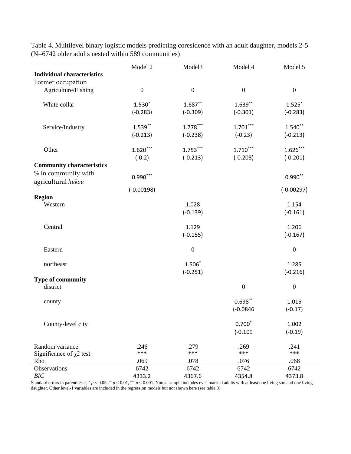|                                   | Model 2          | Model3           | Model 4          | Model 5          |
|-----------------------------------|------------------|------------------|------------------|------------------|
| <b>Individual characteristics</b> |                  |                  |                  |                  |
| Former occupation                 |                  |                  |                  |                  |
| Agriculture/Fishing               | $\boldsymbol{0}$ | $\boldsymbol{0}$ | $\boldsymbol{0}$ | $\boldsymbol{0}$ |
|                                   |                  |                  |                  |                  |
| White collar                      | $1.530*$         | $1.687**$        | $1.639***$       | $1.525$ *        |
|                                   | $(-0.283)$       | $(-0.309)$       | $(-0.301)$       | $(-0.283)$       |
|                                   |                  |                  |                  |                  |
| Service/Industry                  | $1.539***$       | $1.778***$       | $1.701***$       | $1.540**$        |
|                                   |                  |                  | $(-0.23)$        | $(-0.213)$       |
|                                   | $(-0.213)$       | $(-0.238)$       |                  |                  |
| Other                             | $1.620***$       | $1.753***$       | $1.710***$       | $1.626***$       |
|                                   |                  |                  |                  |                  |
|                                   | $(-0.2)$         | $(-0.213)$       | $(-0.208)$       | $(-0.201)$       |
| <b>Community characteristics</b>  |                  |                  |                  |                  |
| % in community with               | $0.990***$       |                  |                  | $0.990**$        |
| agricultural hukou                |                  |                  |                  |                  |
|                                   | $(-0.00198)$     |                  |                  | $(-0.00297)$     |
| <b>Region</b>                     |                  |                  |                  |                  |
| Western                           |                  | 1.028            |                  | 1.154            |
|                                   |                  | $(-0.139)$       |                  | $(-0.161)$       |
|                                   |                  |                  |                  |                  |
| Central                           |                  | 1.129            |                  | 1.206            |
|                                   |                  | $(-0.155)$       |                  | $(-0.167)$       |
|                                   |                  |                  |                  |                  |
| Eastern                           |                  | $\mathbf{0}$     |                  | $\boldsymbol{0}$ |
|                                   |                  |                  |                  |                  |
| northeast                         |                  | $1.506*$         |                  | 1.285            |
|                                   |                  | $(-0.251)$       |                  | $(-0.216)$       |
| <b>Type of community</b>          |                  |                  |                  |                  |
| district                          |                  |                  | $\boldsymbol{0}$ | $\boldsymbol{0}$ |
|                                   |                  |                  |                  |                  |
| county                            |                  |                  | $0.698**$        | 1.015            |
|                                   |                  |                  |                  |                  |
|                                   |                  |                  | $(-0.0846)$      | $(-0.17)$        |
| County-level city                 |                  |                  | $0.700*$         | 1.002            |
|                                   |                  |                  |                  |                  |
|                                   |                  |                  | $(-0.109)$       | $(-0.19)$        |
| Random variance                   | .246             | .279             | .269             | .241             |
|                                   | ***              | ***              | ***              | $***$            |
| Significance of $\chi$ 2 test     |                  |                  |                  |                  |
| Rho                               | .069             | .078             | .076             | .068             |
| Observations                      | 6742             | 6742             | 6742             | 6742             |
| BIC                               | 4333.2           | 4367.6           | 4354.8           | 4373.8           |

Table 4. Multilevel binary logistic models predicting coresidence with an adult daughter, models 2-5 (N=6742 older adults nested within 589 communities)

Standard errors in parentheses;  $p < 0.05$ ,  $p < 0.01$ ,  $p < 0.001$ . Notes: sample includes ever-married adults with at least one living son and one living daughter. Other level-1 variables are included in the regression models but not shown here (see table 3).